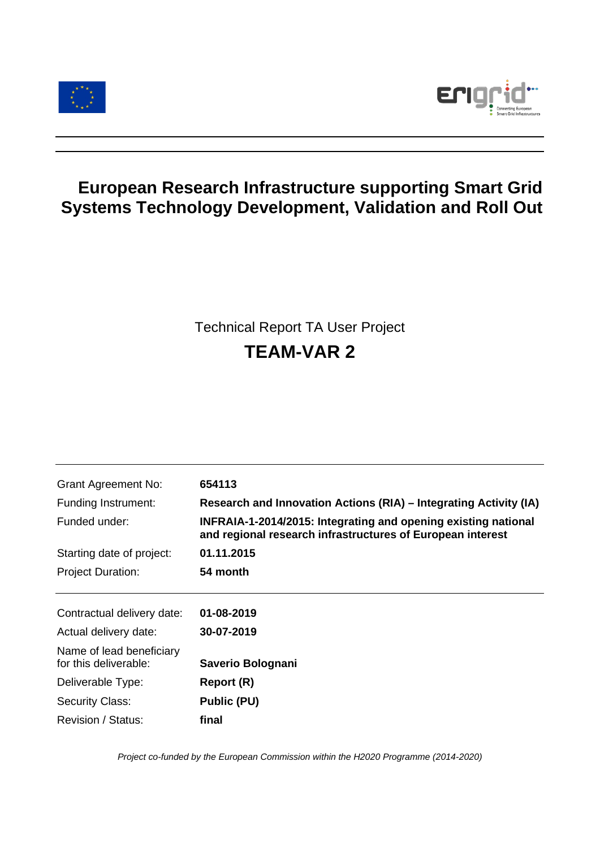



# **European Research Infrastructure supporting Smart Grid Systems Technology Development, Validation and Roll Out**

# Technical Report TA User Project **TEAM-VAR 2**

| <b>Grant Agreement No:</b>                        | 654113                                                                                                                       |
|---------------------------------------------------|------------------------------------------------------------------------------------------------------------------------------|
| Funding Instrument:                               | Research and Innovation Actions (RIA) – Integrating Activity (IA)                                                            |
| Funded under:                                     | INFRAIA-1-2014/2015: Integrating and opening existing national<br>and regional research infrastructures of European interest |
| Starting date of project:                         | 01.11.2015                                                                                                                   |
| <b>Project Duration:</b>                          | 54 month                                                                                                                     |
|                                                   |                                                                                                                              |
| Contractual delivery date:                        | 01-08-2019                                                                                                                   |
| Actual delivery date:                             | 30-07-2019                                                                                                                   |
| Name of lead beneficiary<br>for this deliverable: | Saverio Bolognani                                                                                                            |
| Deliverable Type:                                 | Report (R)                                                                                                                   |
| <b>Security Class:</b>                            | Public (PU)                                                                                                                  |
| Revision / Status:                                | final                                                                                                                        |

*Project co-funded by the European Commission within the H2020 Programme (2014-2020)*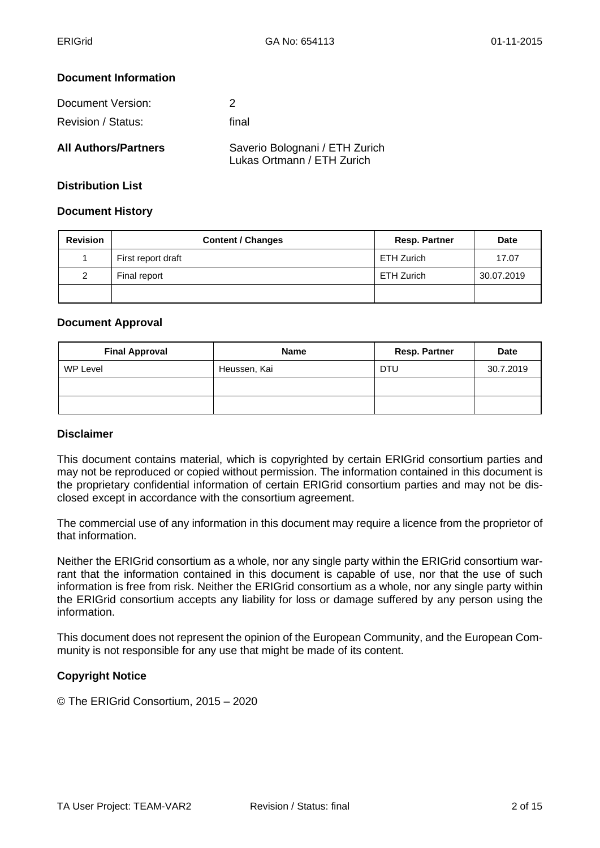#### **Document Information**

| Document Version:           | 2                                                            |
|-----------------------------|--------------------------------------------------------------|
| Revision / Status:          | final                                                        |
| <b>All Authors/Partners</b> | Saverio Bolognani / ETH Zurich<br>Lukas Ortmann / ETH Zurich |

## **Distribution List**

#### **Document History**

| <b>Revision</b> | <b>Content / Changes</b> | <b>Resp. Partner</b> | <b>Date</b> |
|-----------------|--------------------------|----------------------|-------------|
|                 | First report draft       | <b>ETH Zurich</b>    | 17.07       |
| 2               | Final report             | <b>ETH Zurich</b>    | 30.07.2019  |
|                 |                          |                      |             |

#### **Document Approval**

| <b>Final Approval</b> | <b>Name</b>  | <b>Resp. Partner</b> | <b>Date</b> |
|-----------------------|--------------|----------------------|-------------|
| WP Level              | Heussen, Kai | <b>DTU</b>           | 30.7.2019   |
|                       |              |                      |             |
|                       |              |                      |             |

#### **Disclaimer**

This document contains material, which is copyrighted by certain ERIGrid consortium parties and may not be reproduced or copied without permission. The information contained in this document is the proprietary confidential information of certain ERIGrid consortium parties and may not be disclosed except in accordance with the consortium agreement.

The commercial use of any information in this document may require a licence from the proprietor of that information.

Neither the ERIGrid consortium as a whole, nor any single party within the ERIGrid consortium warrant that the information contained in this document is capable of use, nor that the use of such information is free from risk. Neither the ERIGrid consortium as a whole, nor any single party within the ERIGrid consortium accepts any liability for loss or damage suffered by any person using the information.

This document does not represent the opinion of the European Community, and the European Community is not responsible for any use that might be made of its content.

#### **Copyright Notice**

© The ERIGrid Consortium, 2015 – 2020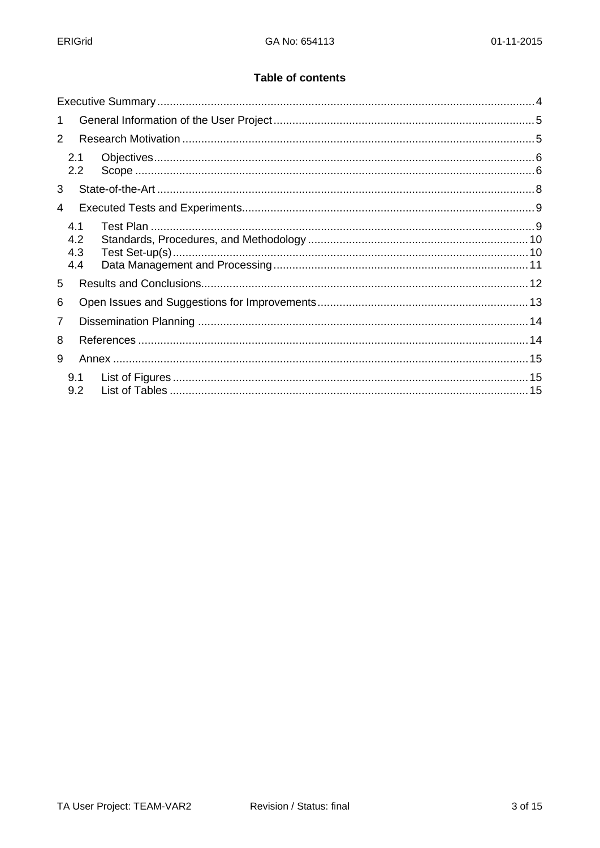#### **Table of contents**

| $\mathbf 1$              |  |
|--------------------------|--|
| 2                        |  |
| 2.1<br>2.2               |  |
| 3                        |  |
| 4                        |  |
| 4.1<br>4.2<br>4.3<br>4.4 |  |
| 5                        |  |
| 6                        |  |
| 7                        |  |
| 8                        |  |
| 9                        |  |
| 9.1<br>9.2               |  |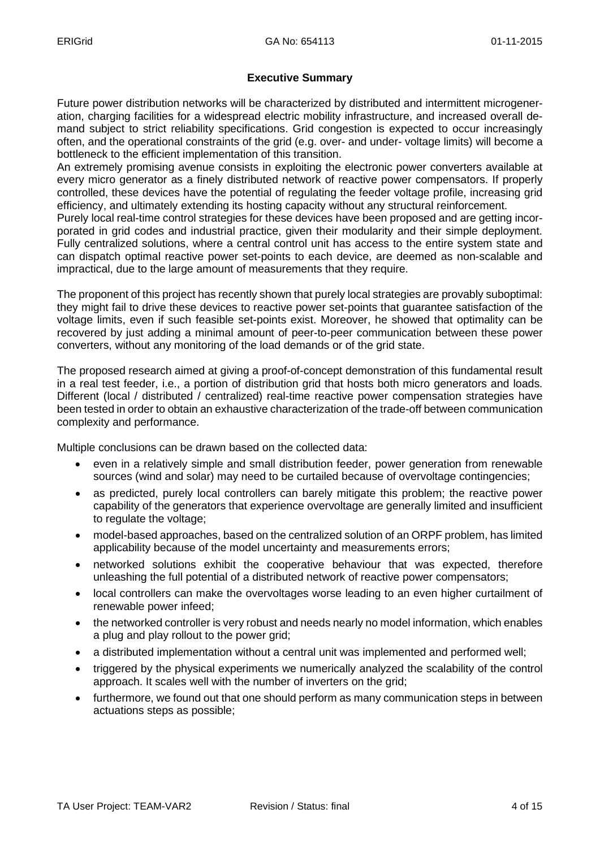## **Executive Summary**

Future power distribution networks will be characterized by distributed and intermittent microgeneration, charging facilities for a widespread electric mobility infrastructure, and increased overall demand subject to strict reliability specifications. Grid congestion is expected to occur increasingly often, and the operational constraints of the grid (e.g. over- and under- voltage limits) will become a bottleneck to the efficient implementation of this transition.

An extremely promising avenue consists in exploiting the electronic power converters available at every micro generator as a finely distributed network of reactive power compensators. If properly controlled, these devices have the potential of regulating the feeder voltage profile, increasing grid efficiency, and ultimately extending its hosting capacity without any structural reinforcement.

Purely local real-time control strategies for these devices have been proposed and are getting incorporated in grid codes and industrial practice, given their modularity and their simple deployment. Fully centralized solutions, where a central control unit has access to the entire system state and can dispatch optimal reactive power set-points to each device, are deemed as non-scalable and impractical, due to the large amount of measurements that they require.

The proponent of this project has recently shown that purely local strategies are provably suboptimal: they might fail to drive these devices to reactive power set-points that guarantee satisfaction of the voltage limits, even if such feasible set-points exist. Moreover, he showed that optimality can be recovered by just adding a minimal amount of peer-to-peer communication between these power converters, without any monitoring of the load demands or of the grid state.

The proposed research aimed at giving a proof-of-concept demonstration of this fundamental result in a real test feeder, i.e., a portion of distribution grid that hosts both micro generators and loads. Different (local / distributed / centralized) real-time reactive power compensation strategies have been tested in order to obtain an exhaustive characterization of the trade-off between communication complexity and performance.

Multiple conclusions can be drawn based on the collected data:

- even in a relatively simple and small distribution feeder, power generation from renewable sources (wind and solar) may need to be curtailed because of overvoltage contingencies;
- as predicted, purely local controllers can barely mitigate this problem; the reactive power capability of the generators that experience overvoltage are generally limited and insufficient to regulate the voltage;
- model-based approaches, based on the centralized solution of an ORPF problem, has limited applicability because of the model uncertainty and measurements errors;
- networked solutions exhibit the cooperative behaviour that was expected, therefore unleashing the full potential of a distributed network of reactive power compensators;
- local controllers can make the overvoltages worse leading to an even higher curtailment of renewable power infeed;
- the networked controller is very robust and needs nearly no model information, which enables a plug and play rollout to the power grid;
- a distributed implementation without a central unit was implemented and performed well;
- triggered by the physical experiments we numerically analyzed the scalability of the control approach. It scales well with the number of inverters on the grid;
- furthermore, we found out that one should perform as many communication steps in between actuations steps as possible;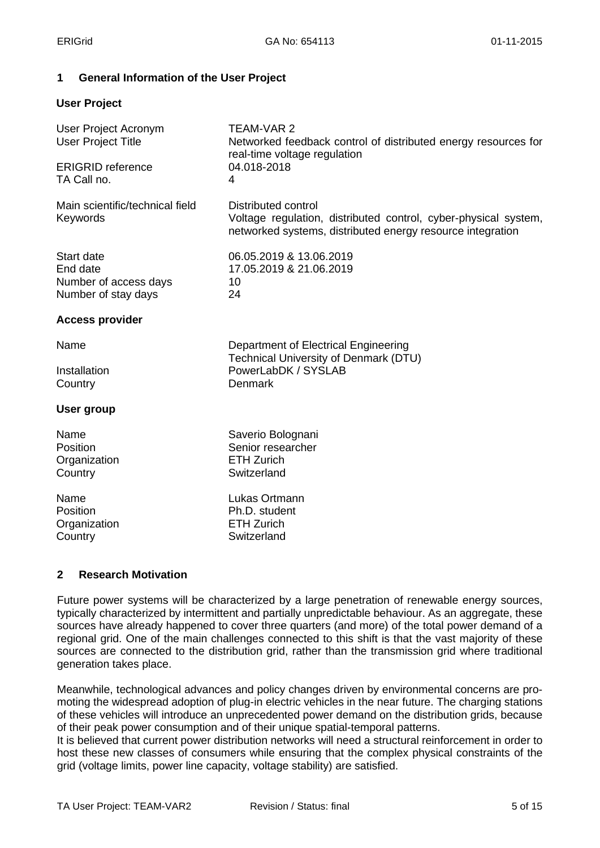## **1 General Information of the User Project**

#### **User Project**

| <b>TEAM-VAR 2</b><br>Networked feedback control of distributed energy resources for<br>real-time voltage regulation<br>04.018-2018<br>4                     |
|-------------------------------------------------------------------------------------------------------------------------------------------------------------|
| <b>Distributed control</b><br>Voltage regulation, distributed control, cyber-physical system,<br>networked systems, distributed energy resource integration |
| 06.05.2019 & 13.06.2019<br>17.05.2019 & 21.06.2019<br>10<br>24                                                                                              |
|                                                                                                                                                             |
| Department of Electrical Engineering<br><b>Technical University of Denmark (DTU)</b><br>PowerLabDK / SYSLAB<br>Denmark                                      |
|                                                                                                                                                             |
| Saverio Bolognani<br>Senior researcher<br><b>ETH Zurich</b><br>Switzerland                                                                                  |
| Lukas Ortmann<br>Ph.D. student<br><b>ETH Zurich</b><br>Switzerland                                                                                          |
|                                                                                                                                                             |

#### **2 Research Motivation**

Future power systems will be characterized by a large penetration of renewable energy sources, typically characterized by intermittent and partially unpredictable behaviour. As an aggregate, these sources have already happened to cover three quarters (and more) of the total power demand of a regional grid. One of the main challenges connected to this shift is that the vast majority of these sources are connected to the distribution grid, rather than the transmission grid where traditional generation takes place.

Meanwhile, technological advances and policy changes driven by environmental concerns are promoting the widespread adoption of plug-in electric vehicles in the near future. The charging stations of these vehicles will introduce an unprecedented power demand on the distribution grids, because of their peak power consumption and of their unique spatial-temporal patterns.

It is believed that current power distribution networks will need a structural reinforcement in order to host these new classes of consumers while ensuring that the complex physical constraints of the grid (voltage limits, power line capacity, voltage stability) are satisfied.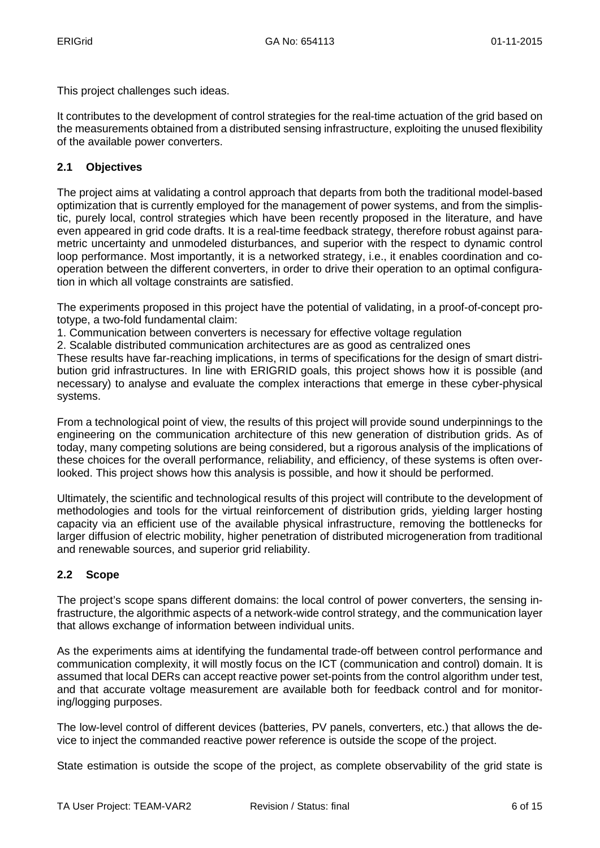This project challenges such ideas.

It contributes to the development of control strategies for the real-time actuation of the grid based on the measurements obtained from a distributed sensing infrastructure, exploiting the unused flexibility of the available power converters.

## **2.1 Objectives**

The project aims at validating a control approach that departs from both the traditional model-based optimization that is currently employed for the management of power systems, and from the simplistic, purely local, control strategies which have been recently proposed in the literature, and have even appeared in grid code drafts. It is a real-time feedback strategy, therefore robust against parametric uncertainty and unmodeled disturbances, and superior with the respect to dynamic control loop performance. Most importantly, it is a networked strategy, i.e., it enables coordination and cooperation between the different converters, in order to drive their operation to an optimal configuration in which all voltage constraints are satisfied.

The experiments proposed in this project have the potential of validating, in a proof-of-concept prototype, a two-fold fundamental claim:

1. Communication between converters is necessary for effective voltage regulation

2. Scalable distributed communication architectures are as good as centralized ones

These results have far-reaching implications, in terms of specifications for the design of smart distribution grid infrastructures. In line with ERIGRID goals, this project shows how it is possible (and necessary) to analyse and evaluate the complex interactions that emerge in these cyber-physical systems.

From a technological point of view, the results of this project will provide sound underpinnings to the engineering on the communication architecture of this new generation of distribution grids. As of today, many competing solutions are being considered, but a rigorous analysis of the implications of these choices for the overall performance, reliability, and efficiency, of these systems is often overlooked. This project shows how this analysis is possible, and how it should be performed.

Ultimately, the scientific and technological results of this project will contribute to the development of methodologies and tools for the virtual reinforcement of distribution grids, yielding larger hosting capacity via an efficient use of the available physical infrastructure, removing the bottlenecks for larger diffusion of electric mobility, higher penetration of distributed microgeneration from traditional and renewable sources, and superior grid reliability.

## **2.2 Scope**

The project's scope spans different domains: the local control of power converters, the sensing infrastructure, the algorithmic aspects of a network-wide control strategy, and the communication layer that allows exchange of information between individual units.

As the experiments aims at identifying the fundamental trade-off between control performance and communication complexity, it will mostly focus on the ICT (communication and control) domain. It is assumed that local DERs can accept reactive power set-points from the control algorithm under test, and that accurate voltage measurement are available both for feedback control and for monitoring/logging purposes.

The low-level control of different devices (batteries, PV panels, converters, etc.) that allows the device to inject the commanded reactive power reference is outside the scope of the project.

State estimation is outside the scope of the project, as complete observability of the grid state is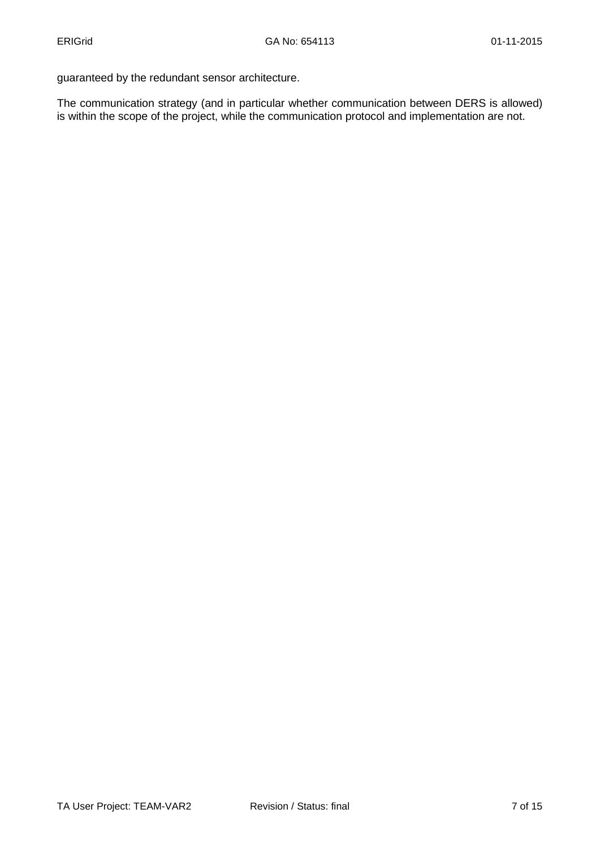guaranteed by the redundant sensor architecture.

The communication strategy (and in particular whether communication between DERS is allowed) is within the scope of the project, while the communication protocol and implementation are not.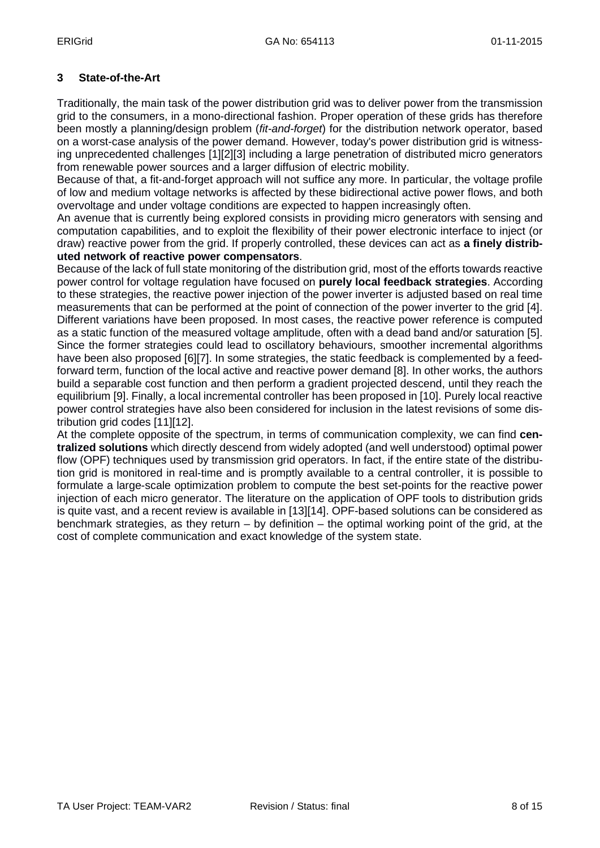## **3 State-of-the-Art**

Traditionally, the main task of the power distribution grid was to deliver power from the transmission grid to the consumers, in a mono-directional fashion. Proper operation of these grids has therefore been mostly a planning/design problem (*fit-and-forget*) for the distribution network operator, based on a worst-case analysis of the power demand. However, today's power distribution grid is witnessing unprecedented challenges [1][2][3] including a large penetration of distributed micro generators from renewable power sources and a larger diffusion of electric mobility.

Because of that, a fit-and-forget approach will not suffice any more. In particular, the voltage profile of low and medium voltage networks is affected by these bidirectional active power flows, and both overvoltage and under voltage conditions are expected to happen increasingly often.

An avenue that is currently being explored consists in providing micro generators with sensing and computation capabilities, and to exploit the flexibility of their power electronic interface to inject (or draw) reactive power from the grid. If properly controlled, these devices can act as **a finely distributed network of reactive power compensators**.

Because of the lack of full state monitoring of the distribution grid, most of the efforts towards reactive power control for voltage regulation have focused on **purely local feedback strategies**. According to these strategies, the reactive power injection of the power inverter is adjusted based on real time measurements that can be performed at the point of connection of the power inverter to the grid [4]. Different variations have been proposed. In most cases, the reactive power reference is computed as a static function of the measured voltage amplitude, often with a dead band and/or saturation [5]. Since the former strategies could lead to oscillatory behaviours, smoother incremental algorithms have been also proposed [6][7]. In some strategies, the static feedback is complemented by a feedforward term, function of the local active and reactive power demand [8]. In other works, the authors build a separable cost function and then perform a gradient projected descend, until they reach the equilibrium [9]. Finally, a local incremental controller has been proposed in [10]. Purely local reactive power control strategies have also been considered for inclusion in the latest revisions of some distribution grid codes [11][12].

At the complete opposite of the spectrum, in terms of communication complexity, we can find **centralized solutions** which directly descend from widely adopted (and well understood) optimal power flow (OPF) techniques used by transmission grid operators. In fact, if the entire state of the distribution grid is monitored in real-time and is promptly available to a central controller, it is possible to formulate a large-scale optimization problem to compute the best set-points for the reactive power injection of each micro generator. The literature on the application of OPF tools to distribution grids is quite vast, and a recent review is available in [13][14]. OPF-based solutions can be considered as benchmark strategies, as they return  $-$  by definition  $-$  the optimal working point of the grid, at the cost of complete communication and exact knowledge of the system state.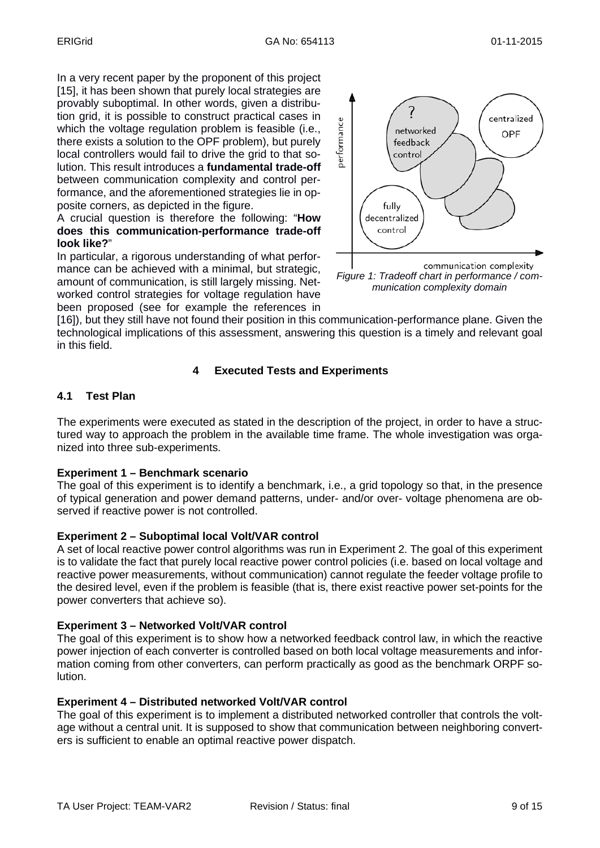In a very recent paper by the proponent of this project [15], it has been shown that purely local strategies are provably suboptimal. In other words, given a distribution grid, it is possible to construct practical cases in which the voltage regulation problem is feasible (i.e., there exists a solution to the OPF problem), but purely local controllers would fail to drive the grid to that solution. This result introduces a **fundamental trade-off** between communication complexity and control performance, and the aforementioned strategies lie in opposite corners, as depicted in the figure.

A crucial question is therefore the following: "**How does this communication-performance trade-off look like?**"

In particular, a rigorous understanding of what performance can be achieved with a minimal, but strategic, amount of communication, is still largely missing. Networked control strategies for voltage regulation have been proposed (see for example the references in



*munication complexity domain*

[16]), but they still have not found their position in this communication-performance plane. Given the technological implications of this assessment, answering this question is a timely and relevant goal in this field.

## **4 Executed Tests and Experiments**

## **4.1 Test Plan**

The experiments were executed as stated in the description of the project, in order to have a struc tured way to approach the problem in the available time frame. The whole investigation was orga nized into three sub-experiments.

#### **Experiment 1 – Benchmark scenario**

The goal of this experiment is to identify a benchmark, i.e., a grid topology so that, in the presence of typical generation and power demand patterns, under- and/or over- voltage phenomena are observed if reactive power is not controlled.

#### **Experiment 2 – Suboptimal local Volt/VAR control**

A set of local reactive power control algorithms was run in Experiment 2. The goal of this experiment is to validate the fact that purely local reactive power control policies (i.e. based on local voltage and reactive power measurements, without communication) cannot regulate the feeder voltage profile to the desired level, even if the problem is feasible (that is, there exist reactive power set-points for the power converters that achieve so).

#### **Experiment 3 – Networked Volt/VAR control**

The goal of this experiment is to show how a networked feedback control law, in which the reactive power injection of each converter is controlled based on both local voltage measurements and information coming from other converters, can perform practically as good as the benchmark ORPF solution.

#### **Experiment 4 – Distributed networked Volt/VAR control**

The goal of this experiment is to implement a distributed networked controller that controls the voltage without a central unit. It is supposed to show that communication between neighboring converters is sufficient to enable an optimal reactive power dispatch.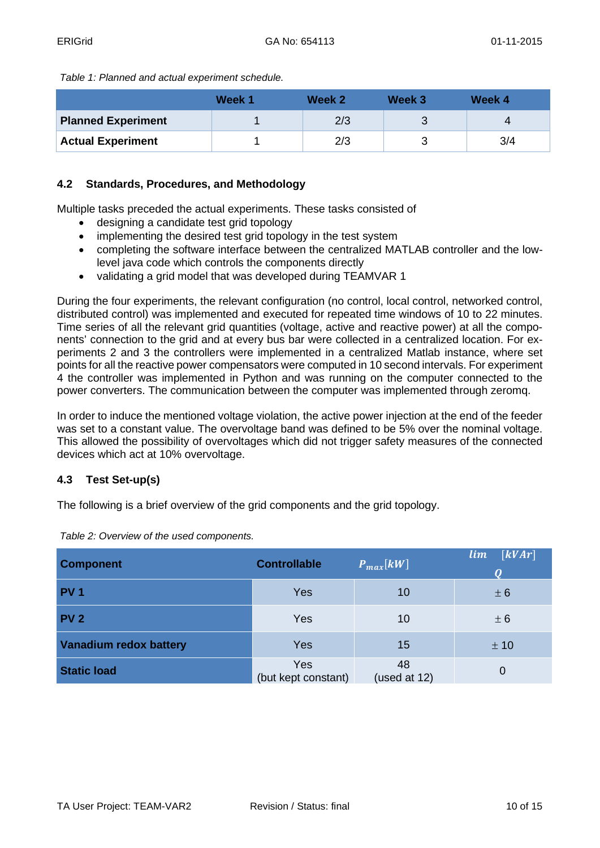*Table 1: Planned and actual experiment schedule.*

|                           | Week 1 | Week 2 | Week 3 | Week 4 |
|---------------------------|--------|--------|--------|--------|
| <b>Planned Experiment</b> |        | 2/3    |        | Δ      |
| <b>Actual Experiment</b>  |        | 2/3    |        | 3/4    |

#### **4.2 Standards, Procedures, and Methodology**

Multiple tasks preceded the actual experiments. These tasks consisted of

- designing a candidate test grid topology
- implementing the desired test grid topology in the test system
- completing the software interface between the centralized MATLAB controller and the lowlevel java code which controls the components directly
- validating a grid model that was developed during TEAMVAR 1

During the four experiments, the relevant configuration (no control, local control, networked control, distributed control) was implemented and executed for repeated time windows of 10 to 22 minutes. Time series of all the relevant grid quantities (voltage, active and reactive power) at all the components' connection to the grid and at every bus bar were collected in a centralized location. For experiments 2 and 3 the controllers were implemented in a centralized Matlab instance, where set points for all the reactive power compensators were computed in 10 second intervals. For experiment 4 the controller was implemented in Python and was running on the computer connected to the power converters. The communication between the computer was implemented through zeromq.

In order to induce the mentioned voltage violation, the active power injection at the end of the feeder was set to a constant value. The overvoltage band was defined to be 5% over the nominal voltage. This allowed the possibility of overvoltages which did not trigger safety measures of the connected devices which act at 10% overvoltage.

## **4.3 Test Set-up(s)**

The following is a brief overview of the grid components and the grid topology.

| <b>Component</b>              | <b>Controllable</b>        | $P_{max}[kW]$      | lim<br> kVAr |
|-------------------------------|----------------------------|--------------------|--------------|
| <b>PV1</b>                    | <b>Yes</b>                 | 10                 | ± 6          |
| <b>PV 2</b>                   | Yes                        | 10                 | ± 6          |
| <b>Vanadium redox battery</b> | <b>Yes</b>                 | 15                 | ± 10         |
| <b>Static load</b>            | Yes<br>(but kept constant) | 48<br>(used at 12) | 0            |

*Table 2: Overview of the used components.*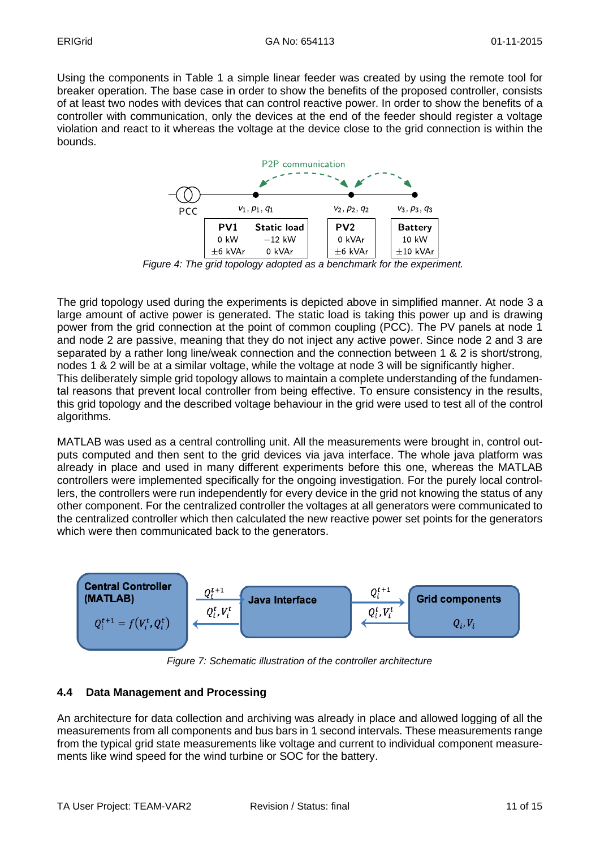Using the components in Table 1 a simple linear feeder was created by using the remote tool for breaker operation. The base case in order to show the benefits of the proposed controller, consists of at least two nodes with devices that can control reactive power. In order to show the benefits of a controller with communication, only the devices at the end of the feeder should register a voltage violation and react to it whereas the voltage at the device close to the grid connection is within the bounds.



*Figure 4: The grid topology adopted as a benchmark for the experiment.*

The grid topology used during the experiments is depicted above in simplified manner. At node 3 a large amount of active power is generated. The static load is taking this power up and is drawing power from the grid connection at the point of common coupling (PCC). The PV panels at node 1 and node 2 are passive, meaning that they do not inject any active power. Since node 2 and 3 are separated by a rather long line/weak connection and the connection between 1 & 2 is short/strong, nodes 1 & 2 will be at a similar voltage, while the voltage at node 3 will be significantly higher. This deliberately simple grid topology allows to maintain a complete understanding of the fundamental reasons that prevent local controller from being effective. To ensure consistency in the results, this grid topology and the described voltage behaviour in the grid were used to test all of the control algorithms.

MATLAB was used as a central controlling unit. All the measurements were brought in, control outputs computed and then sent to the grid devices via java interface. The whole java platform was already in place and used in many different experiments before this one, whereas the MATLAB controllers were implemented specifically for the ongoing investigation. For the purely local controllers, the controllers were run independently for every device in the grid not knowing the status of any other component. For the centralized controller the voltages at all generators were communicated to the centralized controller which then calculated the new reactive power set points for the generators which were then communicated back to the generators.



*Figure 7: Schematic illustration of the controller architecture*

#### **4.4 Data Management and Processing**

An architecture for data collection and archiving was already in place and allowed logging of all the measurements from all components and bus bars in 1 second intervals. These measurements range from the typical grid state measurements like voltage and current to individual component measurements like wind speed for the wind turbine or SOC for the battery.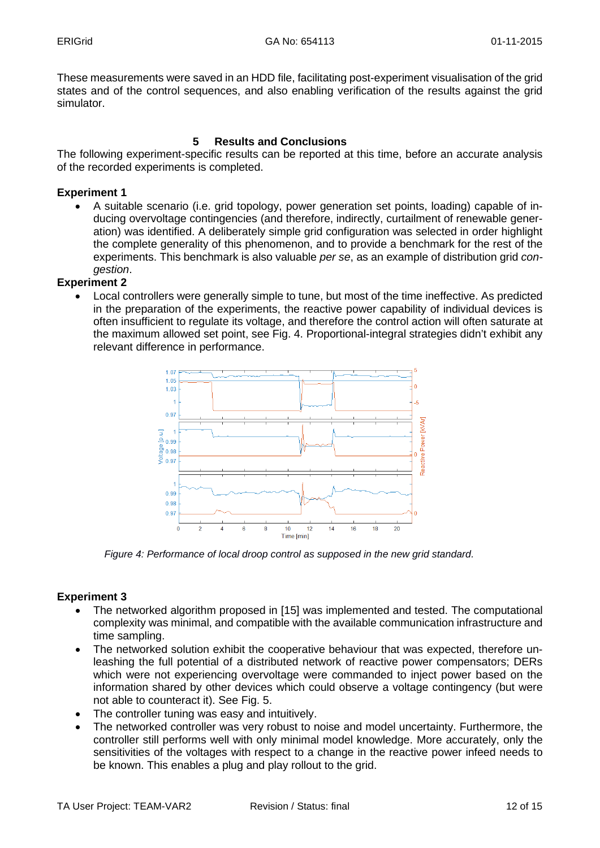These measurements were saved in an HDD file, facilitating post-experiment visualisation of the grid states and of the control sequences, and also enabling verification of the results against the grid simulator.

#### **5 Results and Conclusions**

The following experiment-specific results can be reported at this time, before an accurate analysis of the recorded experiments is completed.

#### **Experiment 1**

• A suitable scenario (i.e. grid topology, power generation set points, loading) capable of inducing overvoltage contingencies (and therefore, indirectly, curtailment of renewable generation) was identified. A deliberately simple grid configuration was selected in order highlight the complete generality of this phenomenon, and to provide a benchmark for the rest of the experiments. This benchmark is also valuable *per se*, as an example of distribution grid *congestion*.

## **Experiment 2**

• Local controllers were generally simple to tune, but most of the time ineffective. As predicted in the preparation of the experiments, the reactive power capability of individual devices is often insufficient to regulate its voltage, and therefore the control action will often saturate at the maximum allowed set point, see Fig. 4. Proportional-integral strategies didn't exhibit any relevant difference in performance.



*Figure 4: Performance of local droop control as supposed in the new grid standard.*

## **Experiment 3**

- The networked algorithm proposed in [15] was implemented and tested. The computational complexity was minimal, and compatible with the available communication infrastructure and time sampling.
- The networked solution exhibit the cooperative behaviour that was expected, therefore unleashing the full potential of a distributed network of reactive power compensators; DERs which were not experiencing overvoltage were commanded to inject power based on the information shared by other devices which could observe a voltage contingency (but were not able to counteract it). See Fig. 5.
- The controller tuning was easy and intuitively.
- The networked controller was very robust to noise and model uncertainty. Furthermore, the controller still performs well with only minimal model knowledge. More accurately, only the sensitivities of the voltages with respect to a change in the reactive power infeed needs to be known. This enables a plug and play rollout to the grid.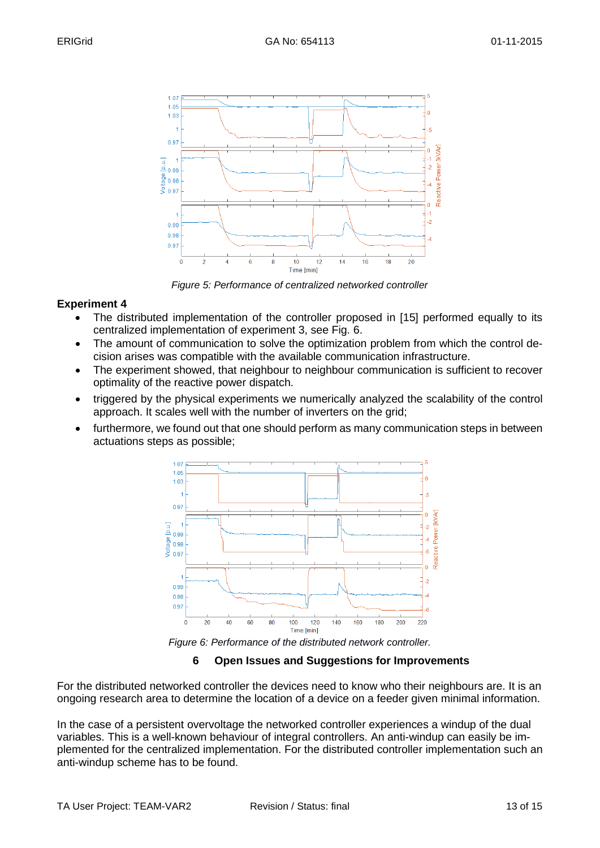

*Figure 5: Performance of centralized networked controller*

#### **Experiment 4**

- The distributed implementation of the controller proposed in [15] performed equally to its centralized implementation of experiment 3, see Fig. 6.
- The amount of communication to solve the optimization problem from which the control decision arises was compatible with the available communication infrastructure.
- The experiment showed, that neighbour to neighbour communication is sufficient to recover optimality of the reactive power dispatch.
- triggered by the physical experiments we numerically analyzed the scalability of the control approach. It scales well with the number of inverters on the grid;
- furthermore, we found out that one should perform as many communication steps in between actuations steps as possible;



*Figure 6: Performance of the distributed network controller.*

#### **6 Open Issues and Suggestions for Improvements**

For the distributed networked controller the devices need to know who their neighbours are. It is an ongoing research area to determine the location of a device on a feeder given minimal information.

In the case of a persistent overvoltage the networked controller experiences a windup of the dual variables. This is a well-known behaviour of integral controllers. An anti-windup can easily be implemented for the centralized implementation. For the distributed controller implementation such an anti-windup scheme has to be found.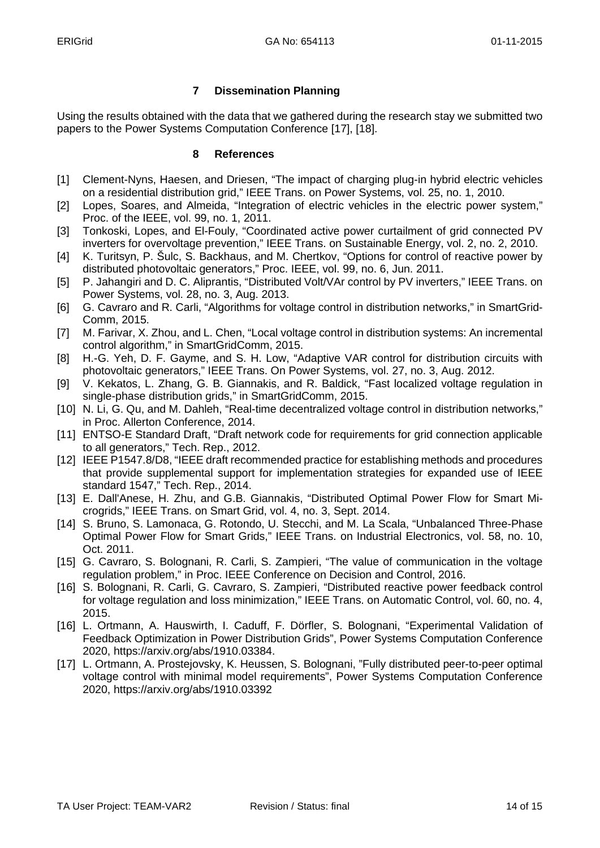## **7 Dissemination Planning**

Using the results obtained with the data that we gathered during the research stay we submitted two papers to the Power Systems Computation Conference [17], [18].

#### **8 References**

- [1] Clement-Nyns, Haesen, and Driesen, "The impact of charging plug-in hybrid electric vehicles on a residential distribution grid," IEEE Trans. on Power Systems, vol. 25, no. 1, 2010.
- [2] Lopes, Soares, and Almeida, "Integration of electric vehicles in the electric power system," Proc. of the IEEE, vol. 99, no. 1, 2011.
- [3] Tonkoski, Lopes, and El-Fouly, "Coordinated active power curtailment of grid connected PV inverters for overvoltage prevention," IEEE Trans. on Sustainable Energy, vol. 2, no. 2, 2010.
- [4] K. Turitsyn, P. Sulc, S. Backhaus, and M. Chertkov, "Options for control of reactive power by distributed photovoltaic generators," Proc. IEEE, vol. 99, no. 6, Jun. 2011.
- [5] P. Jahangiri and D. C. Aliprantis, "Distributed Volt/VAr control by PV inverters," IEEE Trans. on Power Systems, vol. 28, no. 3, Aug. 2013.
- [6] G. Cavraro and R. Carli, "Algorithms for voltage control in distribution networks," in SmartGrid-Comm, 2015.
- [7] M. Farivar, X. Zhou, and L. Chen, "Local voltage control in distribution systems: An incremental control algorithm," in SmartGridComm, 2015.
- [8] H.-G. Yeh, D. F. Gayme, and S. H. Low, "Adaptive VAR control for distribution circuits with photovoltaic generators," IEEE Trans. On Power Systems, vol. 27, no. 3, Aug. 2012.
- [9] V. Kekatos, L. Zhang, G. B. Giannakis, and R. Baldick, "Fast localized voltage regulation in single-phase distribution grids," in SmartGridComm, 2015.
- [10] N. Li, G. Qu, and M. Dahleh, "Real-time decentralized voltage control in distribution networks," in Proc. Allerton Conference, 2014.
- [11] ENTSO-E Standard Draft, "Draft network code for requirements for grid connection applicable to all generators," Tech. Rep., 2012.
- [12] IEEE P1547.8/D8, "IEEE draft recommended practice for establishing methods and procedures that provide supplemental support for implementation strategies for expanded use of IEEE standard 1547," Tech. Rep., 2014.
- [13] E. Dall'Anese, H. Zhu, and G.B. Giannakis, "Distributed Optimal Power Flow for Smart Microgrids," IEEE Trans. on Smart Grid, vol. 4, no. 3, Sept. 2014.
- [14] S. Bruno, S. Lamonaca, G. Rotondo, U. Stecchi, and M. La Scala, "Unbalanced Three-Phase Optimal Power Flow for Smart Grids," IEEE Trans. on Industrial Electronics, vol. 58, no. 10, Oct. 2011.
- [15] G. Cavraro, S. Bolognani, R. Carli, S. Zampieri, "The value of communication in the voltage regulation problem," in Proc. IEEE Conference on Decision and Control, 2016.
- [16] S. Bolognani, R. Carli, G. Cavraro, S. Zampieri, "Distributed reactive power feedback control for voltage regulation and loss minimization," IEEE Trans. on Automatic Control, vol. 60, no. 4, 2015.
- [16] L. Ortmann, A. Hauswirth, I. Caduff, F. Dörfler, S. Bolognani, "Experimental Validation of Feedback Optimization in Power Distribution Grids", Power Systems Computation Conference 2020, https://arxiv.org/abs/1910.03384.
- [17] L. Ortmann, A. Prostejovsky, K. Heussen, S. Bolognani, "Fully distributed peer-to-peer optimal voltage control with minimal model requirements", Power Systems Computation Conference 2020, https://arxiv.org/abs/1910.03392